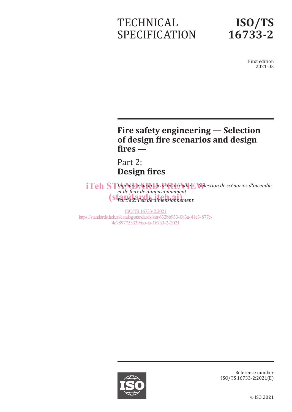# **TECHNICAL** SPECIFICATION



First edition 2021-05

## **Fire safety engineering — Selection of design fire scenarios and design fires —**

Part 2: **Design fires**

*ITeh STIngénierie de la sécurité incendie*  $\div$  *Sélection de scénarios d'incendie et de feux de dimensionnement —* **Partie 2: Feu de dimensionnement**<br> **Standards.ite** 

ISO/TS 16733-2:2021 https://standards.iteh.ai/catalog/standards/sist/632bb933-083a-41e3-877e-4e7897753339/iso-ts-16733-2-2021



Reference number ISO/TS 16733-2:2021(E)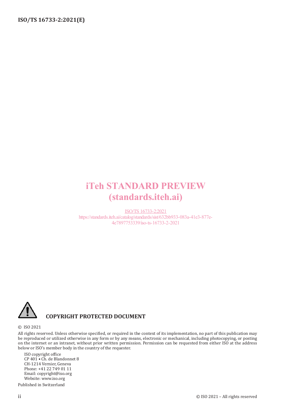## iTeh STANDARD PREVIEW (standards.iteh.ai)

ISO/TS 16733-2:2021 https://standards.iteh.ai/catalog/standards/sist/632bb933-083a-41e3-877e-4e7897753339/iso-ts-16733-2-2021



### **COPYRIGHT PROTECTED DOCUMENT**

#### © ISO 2021

All rights reserved. Unless otherwise specified, or required in the context of its implementation, no part of this publication may be reproduced or utilized otherwise in any form or by any means, electronic or mechanical, including photocopying, or posting on the internet or an intranet, without prior written permission. Permission can be requested from either ISO at the address below or ISO's member body in the country of the requester.

ISO copyright office CP 401 • Ch. de Blandonnet 8 CH-1214 Vernier, Geneva Phone: +41 22 749 01 11 Email: copyright@iso.org Website: www.iso.org Published in Switzerland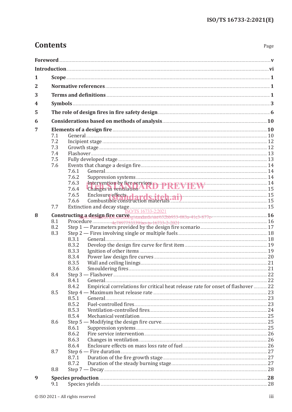Page

## **Contents**

| 1              |                                                                               |                                                                                                                                                                                                                                        |  |
|----------------|-------------------------------------------------------------------------------|----------------------------------------------------------------------------------------------------------------------------------------------------------------------------------------------------------------------------------------|--|
| $\overline{2}$ |                                                                               |                                                                                                                                                                                                                                        |  |
|                |                                                                               |                                                                                                                                                                                                                                        |  |
| 3              |                                                                               |                                                                                                                                                                                                                                        |  |
| 4              |                                                                               | Symbols 2008 and 2008 and 2008 and 2008 and 2008 and 2008 and 2008 and 2008 and 2008 and 2008 and 2008 and 200                                                                                                                         |  |
| 5              |                                                                               | The role of design fires in fire safety design <b>Election Contract and Service Contract and Service Contract and Service Contract and Service Contract and Service Contract and Service Contract and Service Contract and Servi</b>   |  |
| 6              |                                                                               | Considerations based on methods of analysis <b>Entity of Alliance 2018</b> 10                                                                                                                                                          |  |
| 7              | Elements of a design fire <b>contract to the contract of a design fire</b> 10 |                                                                                                                                                                                                                                        |  |
|                | 7.1                                                                           |                                                                                                                                                                                                                                        |  |
|                | 7.2                                                                           |                                                                                                                                                                                                                                        |  |
|                | 7.3                                                                           |                                                                                                                                                                                                                                        |  |
|                | 7.4                                                                           |                                                                                                                                                                                                                                        |  |
|                | 7.5                                                                           |                                                                                                                                                                                                                                        |  |
|                | 7.6                                                                           |                                                                                                                                                                                                                                        |  |
|                |                                                                               | 7.6.1<br>7.6.2                                                                                                                                                                                                                         |  |
|                |                                                                               | 7.6.3                                                                                                                                                                                                                                  |  |
|                |                                                                               | -Intervention by fire services<br>Changes in ventilation<br>15<br>7.6.4                                                                                                                                                                |  |
|                |                                                                               | 7.6.5                                                                                                                                                                                                                                  |  |
|                |                                                                               | Enclosure effects de production materials and de construction materials and de construction materials and de construction materials and de construction materials and de construction materials and de construction materials<br>7.6.6 |  |
|                | 7.7                                                                           | Extinction and decay stage <b>Extinction</b> and decay stage <b>Extinction</b>                                                                                                                                                         |  |
|                |                                                                               | ISO/TS 16733-2:2021                                                                                                                                                                                                                    |  |
| 8              |                                                                               | Constructing a design fire curve standards/sist 632bb933-083a-41e3-877e-                                                                                                                                                               |  |
|                | 8.1                                                                           |                                                                                                                                                                                                                                        |  |
|                | 8.2<br>8.3                                                                    |                                                                                                                                                                                                                                        |  |
|                |                                                                               | 8.3.1                                                                                                                                                                                                                                  |  |
|                |                                                                               | 8.3.2                                                                                                                                                                                                                                  |  |
|                |                                                                               | 8.3.3                                                                                                                                                                                                                                  |  |
|                |                                                                               | 8.3.4                                                                                                                                                                                                                                  |  |
|                |                                                                               | 8.3.5                                                                                                                                                                                                                                  |  |
|                |                                                                               | 8.3.6                                                                                                                                                                                                                                  |  |
|                | 8.4                                                                           | Step 3 - Flashover 22                                                                                                                                                                                                                  |  |
|                |                                                                               | 8.4.1                                                                                                                                                                                                                                  |  |
|                |                                                                               | Empirical correlations for critical heat release rate for onset of flashover  22<br>8.4.2                                                                                                                                              |  |
|                | 8.5                                                                           |                                                                                                                                                                                                                                        |  |
|                |                                                                               | General 23<br>8.5.1                                                                                                                                                                                                                    |  |
|                |                                                                               | 8.5.2                                                                                                                                                                                                                                  |  |
|                |                                                                               | 8.5.3                                                                                                                                                                                                                                  |  |
|                |                                                                               | 8.5.4                                                                                                                                                                                                                                  |  |
|                | 8.6                                                                           |                                                                                                                                                                                                                                        |  |
|                |                                                                               | 8.6.1                                                                                                                                                                                                                                  |  |
|                |                                                                               | 8.6.2                                                                                                                                                                                                                                  |  |
|                |                                                                               | 8.6.3                                                                                                                                                                                                                                  |  |
|                |                                                                               | 8.6.4<br>Step 6 - Fire duration 27                                                                                                                                                                                                     |  |
|                | 8.7                                                                           |                                                                                                                                                                                                                                        |  |
|                |                                                                               | 8.7.1<br>8.7.2                                                                                                                                                                                                                         |  |
|                | 8.8                                                                           |                                                                                                                                                                                                                                        |  |
|                |                                                                               |                                                                                                                                                                                                                                        |  |
| 9              |                                                                               | Species production 28                                                                                                                                                                                                                  |  |
|                | 9.1                                                                           |                                                                                                                                                                                                                                        |  |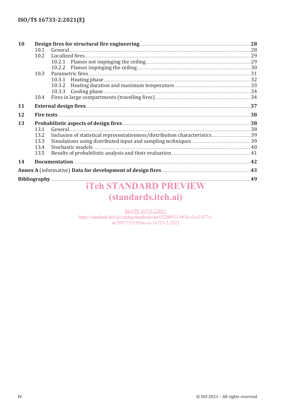| 10 | Design fires for structural fire engineering <b>Election Construction</b> 28 |                                                                                                                                                 |    |
|----|------------------------------------------------------------------------------|-------------------------------------------------------------------------------------------------------------------------------------------------|----|
|    | 10.1                                                                         |                                                                                                                                                 |    |
|    | 10.2                                                                         |                                                                                                                                                 |    |
|    |                                                                              |                                                                                                                                                 |    |
|    |                                                                              | Flames impinging the ceiling <b>Manual Equation Contract 20</b> 30<br>10.2.2                                                                    |    |
|    | 10.3                                                                         |                                                                                                                                                 |    |
|    |                                                                              | 10.3.1 Heating phase <b>contract and the contract of the contract of the contract of the contract of the contract of the contract of the 32</b> |    |
|    |                                                                              | 10.3.2                                                                                                                                          |    |
|    |                                                                              |                                                                                                                                                 |    |
|    | 10.4                                                                         |                                                                                                                                                 |    |
| 11 |                                                                              |                                                                                                                                                 |    |
| 12 |                                                                              |                                                                                                                                                 |    |
| 13 |                                                                              | Probabilistic aspects of design fires 38                                                                                                        |    |
|    | 13.1                                                                         |                                                                                                                                                 |    |
|    | 13.2                                                                         |                                                                                                                                                 |    |
|    | 13.3                                                                         |                                                                                                                                                 |    |
|    | 13.4                                                                         |                                                                                                                                                 |    |
|    | 13.5                                                                         |                                                                                                                                                 |    |
| 14 |                                                                              |                                                                                                                                                 |    |
|    |                                                                              |                                                                                                                                                 |    |
|    |                                                                              |                                                                                                                                                 | 49 |
|    |                                                                              | <b>Teh STANDARD PREVIEW</b>                                                                                                                     |    |

# (standards.iteh.ai)

ISO/TS 16733-2:2021 https://standards.iteh.ai/catalog/standards/sist/632bb933-083a-41e3-877e-4e7897753339/iso-ts-16733-2-2021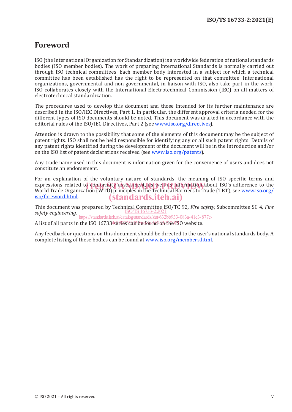### **Foreword**

ISO (the International Organization for Standardization) is a worldwide federation of national standards bodies (ISO member bodies). The work of preparing International Standards is normally carried out through ISO technical committees. Each member body interested in a subject for which a technical committee has been established has the right to be represented on that committee. International organizations, governmental and non-governmental, in liaison with ISO, also take part in the work. ISO collaborates closely with the International Electrotechnical Commission (IEC) on all matters of electrotechnical standardization.

The procedures used to develop this document and those intended for its further maintenance are described in the ISO/IEC Directives, Part 1. In particular, the different approval criteria needed for the different types of ISO documents should be noted. This document was drafted in accordance with the editorial rules of the ISO/IEC Directives, Part 2 (see www.iso.org/directives).

Attention is drawn to the possibility that some of the elements of this document may be the subject of patent rights. ISO shall not be held responsible for identifying any or all such patent rights. Details of any patent rights identified during the development of the document will be in the Introduction and/or on the ISO list of patent declarations received (see www.iso.org/patents).

Any trade name used in this document is information given for the convenience of users and does not constitute an endorsement.

For an explanation of the voluntary nature of standards, the meaning of ISO specific terms and expressions related to conformity assessment, as well as information about ISO's adherence to the experience or<br>World Trade Organization (WTO) principles in the Technical Barriers to Trade (TBT), see www.iso.org/ World Trade Organization (WTO) principles in the Technical Barriers to Trade (TBT), see www.iso.org/ iso/foreword.html. (standards.iteh.ai)

This document was prepared by Technical Committee ISO/TC 92*, Fire safety*, Subcommittee SC 4, *Fire safety engineering.* ISO/TS 16733-2:2021

https://standards.iteh.ai/catalog/standards/sist/632bb933-083a-41e3-877e-

A list of all parts in the ISO 167334series can be found on the ISO website.

Any feedback or questions on this document should be directed to the user's national standards body. A complete listing of these bodies can be found at www.iso.org/members.html.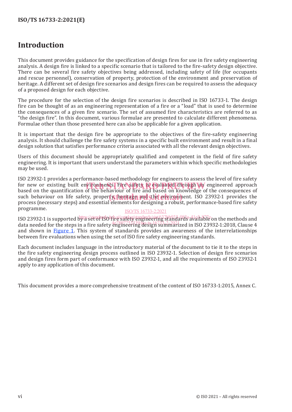## **Introduction**

This document provides guidance for the specification of design fires for use in fire safety engineering analysis. A design fire is linked to a specific scenario that is tailored to the fire-safety design objective. There can be several fire safety objectives being addressed, including safety of life (for occupants and rescue personnel), conservation of property, protection of the environment and preservation of heritage. A different set of design fire scenarios and design fires can be required to assess the adequacy of a proposed design for each objective.

The procedure for the selection of the design fire scenarios is described in ISO 16733-1. The design fire can be thought of as an engineering representation of a fire or a "load" that is used to determine the consequences of a given fire scenario. The set of assumed fire characteristics are referred to as "the design fire". In this document, various formulae are presented to calculate different phenomena. Formulae other than those presented here can also be applicable for a given application.

It is important that the design fire be appropriate to the objectives of the fire-safety engineering analysis. It should challenge the fire safety systems in a specific built environment and result in a final design solution that satisfies performance criteria associated with all the relevant design objectives.

Users of this document should be appropriately qualified and competent in the field of fire safety engineering. It is important that users understand the parameters within which specific methodologies may be used.

ISO 23932-1 provides a performance-based methodology for engineers to assess the level of fire safety for new or existing built environments. Fire safety is evaluated through an engineered approach for a series of the consequences of based on the quantification of the behaviour of fire and based on knowledge of the consequences of such behaviour on life safety, property, heritage and the environment. ISO 23932-1 provides the process (pecessary standards) and essential elements for decisining a reduct performance based fire safety. process (necessary steps) and essential elements for designing a robust, performance-based fire safety programme.

#### ISO/TS 16733-2:2021

ISO 23932-1 is supported by a set of ISO file (satelog/standards/sixt/632bb933-0838-aVailable on the methods and no Essex The stepper centry a secret for the stage of the straight was available on the methods and and shown in Figure 1. This system of standards provides an awareness of the interrelationships between fire evaluations when using the set of ISO fire safety engineering standards.

Each document includes language in the introductory material of the document to tie it to the steps in the fire safety engineering design process outlined in ISO 23932-1. Selection of design fire scenarios and design fires form part of conformance with ISO 23932-1, and all the requirements of ISO 23932-1 apply to any application of this document.

This document provides a more comprehensive treatment of the content of ISO 16733-1:2015, Annex C.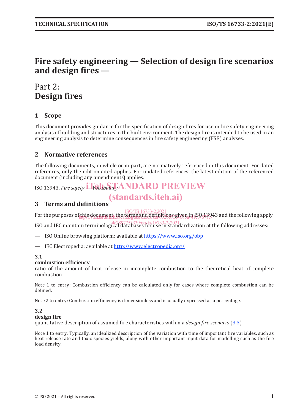## **Fire safety engineering — Selection of design fire scenarios and design fires —**

## Part 2: **Design fires**

### **1 Scope**

This document provides guidance for the specification of design fires for use in fire safety engineering analysis of building and structures in the built environment. The design fire is intended to be used in an engineering analysis to determine consequences in fire safety engineering (FSE) analyses.

### **2 Normative references**

The following documents, in whole or in part, are normatively referenced in this document. For dated references, only the edition cited applies. For undated references, the latest edition of the referenced document (including any amendments) applies.

ISO 13943, *Fire safety LVocabulary* ANDARD PREVIEW

## (standards.iteh.ai)

### **3 Terms and definitions**

For the purposes of this document, the terms and definitions given in ISO 13943 and the following apply. ISO/TS 16733-2:2021 https://standards.iteh.ai/catalog/standards/sist/632bb933-083a-41e3-877e-

ISO and IEC maintain terminological databases for use in standardization at the following addresses:

— ISO Online browsing platform: available at https://www.iso.org/obp

— IEC Electropedia: available at http://www.electropedia.org/

### **3.1**

#### **combustion efficiency**

ratio of the amount of heat release in incomplete combustion to the theoretical heat of complete combustion

Note 1 to entry: Combustion efficiency can be calculated only for cases where complete combustion can be defined.

Note 2 to entry: Combustion efficiency is dimensionless and is usually expressed as a percentage.

### **3.2**

#### **design fire**

quantitative description of assumed fire characteristics within a *design fire scenario* (3.3)

Note 1 to entry: Typically, an idealized description of the variation with time of important fire variables, such as heat release rate and toxic species yields, along with other important input data for modelling such as the fire load density.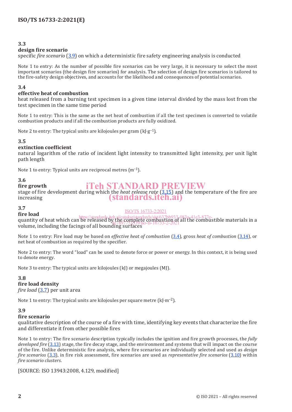### **3.3**

### **design fire scenario**

specific *fire scenario* (3.9) on which a deterministic fire safety engineering analysis is conducted

Note 1 to entry: As the number of possible fire scenarios can be very large, it is necessary to select the most important scenarios (the design fire scenarios) for analysis. The selection of design fire scenarios is tailored to the fire-safety design objectives, and accounts for the likelihood and consequences of potential scenarios.

### **3.4**

### **effective heat of combustion**

heat released from a burning test specimen in a given time interval divided by the mass lost from the test specimen in the same time period

Note 1 to entry: This is the same as the net heat of combustion if all the test specimen is converted to volatile combustion products and if all the combustion products are fully oxidized.

Note 2 to entry: The typical units are kilojoules per gram  $(k]{\cdot}g^{-1}$ .

#### **3.5**

### **extinction coefficient**

natural logarithm of the ratio of incident light intensity to transmitted light intensity, per unit light path length

Note 1 to entry: Typical units are reciprocal metres (m−1).

### **3.6**

#### **fire growth** iTeh STANDARD PREVIEW

stage of fire development during which the *heat release rate* (3.15) and the temperature of the fire are increasing (standards.iteh.ai)

### **3.7**

#### ISO/TS 16733-2:2021

**fire load** quantity of heat which can be released by the complete combustion of all the combustible materials in a volume, including the facings of all bounding surfaces https://standards.iteh.ai/catalog/standards/sist/632bb933-083a-41e3-877ey die complete complex clondi

Note 1 to entry: Fire load may be based on *effective heat of combustion* (3.4), gross *heat of combustion* (3.14), or net heat of combustion as required by the specifier.

Note 2 to entry: The word "load" can be used to denote force or power or energy. In this context, it is being used to denote energy.

Note 3 to entry: The typical units are kilojoules (kJ) or megajoules (MJ).

### **3.8**

### **fire load density**

*fire load* (3.7) per unit area

Note 1 to entry: The typical units are kilojoules per square metre (kJ⋅m−2).

### **3.9**

### **fire scenario**

qualitative description of the course of a fire with time, identifying key events that characterize the fire and differentiate it from other possible fires

Note 1 to entry: The fire scenario description typically includes the ignition and fire growth processes, the *fully developed fire* (3.13) stage, the fire decay stage, and the environment and systems that will impact on the course of the fire. Unlike deterministic fire analysis, where fire scenarios are individually selected and used as *design fire scenarios* (3.3), in fire risk assessment, fire scenarios are used as *representative fire scenarios* (3.10) within *fire scenario clusters*.

[SOURCE: ISO 13943:2008, 4.129, modified]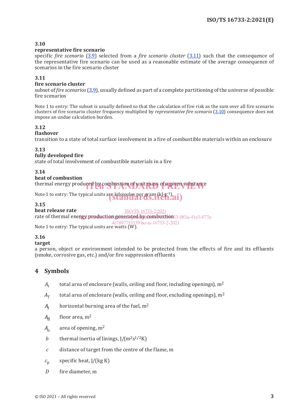### **3.10**

### **representative fire scenario**

specific *fire scenario* (3.9) selected from a *fire scenario cluster* (3.11) such that the consequence of the representative fire scenario can be used as a reasonable estimate of the average consequence of scenarios in the fire scenario cluster

### **3.11**

### **fire scenario cluster**

subset of *fire scenarios* (3.9), usually defined as part of a complete partitioning of the universe of possible fire scenarios

Note 1 to entry: The subset is usually defined so that the calculation of fire risk as the sum over all fire scenario clusters of fire scenario cluster frequency multiplied by *representative fire scenario* (3.10) consequence does not impose an undue calculation burden.

### **3.12**

### **flashover**

transition to a state of total surface involvement in a fire of combustible materials within an enclosure

#### **3.13**

### **fully developed fire**

state of total involvement of combustible materials in a fire

### **3.14**

#### **heat of combustion**

thermal energy produced by combustion of unit mass of a given substance

Note 1 to entry: The typical units are kilojoules per gram (kJ⋅g−1).<br>Standards.iten.ai)

### **3.15**

#### **heat release rate**

rate of thermal energy production generated by combustion 3-083a-41e3-877e-ISO/TS 16733-2:2021

4e7897753339/iso-ts-16733-2-2021

### Note 1 to entry: The typical units are watts  $(W)$ .

### **3.16**

#### **target**

a person, object or environment intended to be protected from the effects of fire and its effluents (smoke, corrosive gas, etc.) and/or fire suppression effluents

### **4 Symbols**

- $A_t$  total area of enclosure (walls, ceiling and floor, including openings),  $m^2$
- $A<sub>T</sub>$  total area of enclosure (walls, ceiling and floor, excluding openings), m<sup>2</sup>
- $A_f$  horizontal burning area of the fuel, m<sup>2</sup>
- $A_{\rm fl}$  floor area, m<sup>2</sup>
- *A*<sub>o</sub> area of opening, m<sup>2</sup>
- *b* thermal inertia of linings,  $I/(m^2s^{1/2}K)$
- *c* distance of target from the centre of the flame, m
- $c_p$  specific heat, J/(kg K)
- *D* fire diameter, m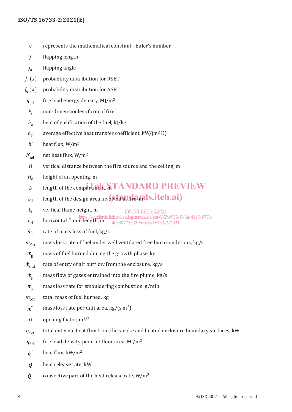### **ISO/TS 16733-2:2021(E)**

- e represents the mathematical constant Euler's number
- *f* flapping length
- *f*<sup>a</sup> flapping angle
- $f_s(s)$  probability distribution for RSET
- $f_s(x)$  probability distribution for ASET
- $q_{f,d}$  fire load energy density, MJ/m<sup>2</sup>
- *F<sub>s</sub>* non-dimensionless form of fire
- *h*<sub>g</sub> heat of gasification of the fuel, kJ/kg
- $h_T$  average effective heat transfer coefficient, kW/(m<sup>2</sup> K)
- *h'* heat flux, W/m<sup>2</sup>
- $h'_{\text{net}}$ net net heat flux, W/m<sup>2</sup>
- *H* vertical distance between the fire source and the ceiling, m
- $H_0$  height of an opening, m
- $L$  length of the compartment, m TANDARD PREVIEW
- $L_{\rm d}$  length of the design area involved in fire, mass it  $\bf{el.ail}$
- $L_f$  vertical flame height, m ISO/TS 16733-2:2021
- *L*<sub>H</sub> horizontal flame length, m <br>  $L_H$  horizontal flame length, m  $4e7897753339/\text{iso-ts-16733-2-2021}$
- 4e7897753339/iso-ts-16733-2-2021
- $\dot{m}_{\rm f}$  rate of mass loss of fuel, kg/s
- $\dot{m}_{\text{F,u}}$  mass loss rate of fuel under well ventilated free burn conditions, kg/s
- *<sup>m</sup>*<sup>g</sup> mass of fuel burned during the growth phase, kg
- $\dot{m}_{\text{out}}$  rate of entry of air outflow from the enclosure, kg/s
- $\dot{m}_p$  mass flow of gases entrained into the fire plume, kg/s
- $\dot{m}_s$  mass loss rate for smouldering combustion, g/min
- *m*<sub>tot</sub> total mass of fuel burned, kg
- $\dot{m}$ <sup>"</sup> mass loss rate per unit area, kg/(s m<sup>2</sup>)
- *O* opening factor,  $m^{1/2}$
- $\dot{q}_{\text{ext}}$ ext total external heat flux from the smoke and heated enclosure boundary surfaces, kW
- $q_{\text{fd}}$  fire load density per unit floor area, MJ/m<sup>2</sup>

*q*'' heat flux, kW/m<sup>2</sup>

- *Q* heat release rate, kW
- $Q_c$ convective part of the heat release rate,  $W/m^2$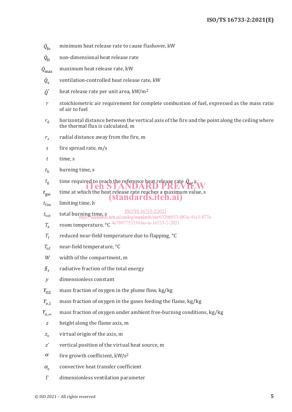- $\dot{Q}_{\rm fo}$ minimum heat release rate to cause flashover, kW
- $\dot{Q}_\text{H}$ non-dimensional heat release rate
- $\dot{Q}_{\rm max}$ max maximum heat release rate, kW
- $\dot{Q}_{\rm v}$ ventilation-controlled heat release rate, kW
- $\dot{Q}$ " heat release rate per unit area, kW/m<sup>2</sup>
- *r* stoichiometric air requirement for complete combustion of fuel, expressed as the mass ratio of air to fuel
- $r_d$  horizontal distance between the vertical axis of the fire and the point along the ceiling where the thermal flux is calculated, m
- *rx* radial distance away from the fire, m
- *s* fire spread rate, m/s
- *t* time, s
- $t<sub>b</sub>$  burning time, s
- *t*<sub>g</sub> time required to reach the reference heat release rate  $\dot{Q}_{\text{o}}$ , s iTeh STANDARD PREVIEW
- *t*gw time at which the heat release rate reaches a maximum value, s (standards.iteh.ai)
- $t_{\text{lim}}$  limiting time, h
- t<sub>tot</sub> total burning time, s<br>https://standards.iteh.ai/catalog/standards/sist/632bb933-083a-41e3-877e-ISO/TS 16733-2:2021
- *T*<sup>a</sup> room temperature, °C 4e7897753339/iso-ts-16733-2-2021
- $T_f$  reduced near-field temperature due to flapping,  ${}^{\circ}C$
- $T_{\text{nf}}$  near-field temperature,  $\degree$ C
- *W* width of the compartment, m
- *§*<sup>r</sup> radiative fraction of the total energy
- *y* dimensionless constant
- *Y*<sub>02</sub> mass fraction of oxygen in the plume flow, kg/kg
- $Y_{o,l}$  mass fraction of oxygen in the gases feeding the flame, kg/kg
- $Y_{0\infty}$  mass fraction of oxygen under ambient free-burning conditions, kg/kg
- *z* height along the flame axis, m
- z<sub>o</sub> virtual origin of the axis, m
- *z'* vertical position of the virtual heat source, m
- $\alpha$  fire growth coefficient, kW/s<sup>2</sup>
- $\alpha_c$  convective heat transfer coefficient
- Γ dimensionless ventilation parameter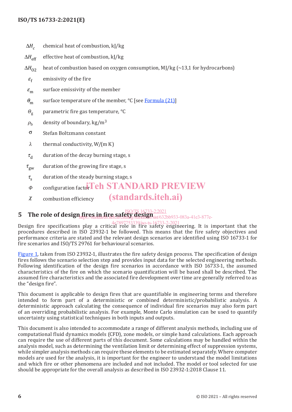### **ISO/TS 16733-2:2021(E)**

- $ΔH<sub>c</sub>$  chemical heat of combustion, kJ/kg
- ΔH<sub>off</sub> effective heat of combustion, kJ/kg
- $\Delta H_{\Omega2}$  heat of combustion based on oxygen consumption, MJ/kg (~13,1 for hydrocarbons)
	- $\varepsilon_f$  emissivity of the fire
- $\varepsilon_{\rm m}$  surface emissivity of the member
- $\theta_{\rm m}$  surface temperature of the member, °C [see Formula (21)]
- *Θ*<sup>g</sup> parametric fire gas temperature, °C
- $\rho_{\rm b}$  density of boundary, kg/m<sup>3</sup>
- <sup>σ</sup> Stefan Boltzmann constant
- *λ* thermal conductivity, W/(m K)
- $\tau_{\rm d}$  duration of the decay burning stage, s
- $\tau_{\rm gw}$  duration of the growing fire stage, s
- $\tau_{\rm s}$  duration of the steady burning stage, s
- *Φ* configuration factor Teh STANDARD PREVIEW
- $\chi$  combustion efficiency (standards.iteh.ai)

#### **5 The role of design fires in fire safety design**  $\frac{150}{15}$ **design** https://standards.iteh.ai/catalog/standards/sist/632bb933-083a-41e3-877e-

Design fire specifications play a critical role in fire safety engineering. It is important that the procedures described in ISO 23932-1 be followed. This means that the fire safety objectives and performance criteria are stated and the relevant design scenarios are identified using ISO 16733-1 for fire scenarios and ISO/TS 29761 for behavioural scenarios. 4e7897753339/iso-ts-16733-2-2021

Figure 1, taken from ISO 23932-1, illustrates the fire safety design process. The specification of design fires follows the scenario selection step and provides input data for the selected engineering methods. Following identification of the design fire scenarios in accordance with ISO 16733-1, the assumed characteristics of the fire on which the scenario quantification will be based shall be described. The assumed fire characteristics and the associated fire development over time are generally referred to as the "design fire".

This document is applicable to design fires that are quantifiable in engineering terms and therefore intended to form part of a deterministic or combined deterministic/probabilistic analysis. A deterministic approach calculating the consequence of individual fire scenarios may also form part of an overriding probabilistic analysis. For example, Monte Carlo simulation can be used to quantify uncertainty using statistical techniques in both inputs and outputs.

This document is also intended to accommodate a range of different analysis methods, including use of computational fluid dynamics models (CFD), zone models, or simple hand calculations. Each approach can require the use of different parts of this document. Some calculations may be handled within the analysis model, such as determining the ventilation limit or determining effect of suppression systems, while simpler analysis methods can require these elements to be estimated separately. Where computer models are used for the analysis, it is important for the engineer to understand the model limitations and which fire or other phenomena are included and not included. The model or tool selected for use should be appropriate for the overall analysis as described in ISO 23932-1:2018 Clause 11.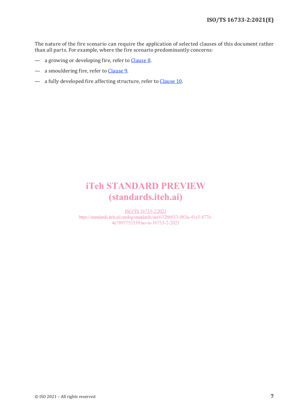The nature of the fire scenario can require the application of selected clauses of this document rather than all parts. For example, where the fire scenario predominantly concerns:

- a growing or developing fire, refer to Clause 8.
- a smouldering fire, refer to Clause 9.
- a fully developed fire affecting structure, refer to Clause 10.

## iTeh STANDARD PREVIEW (standards.iteh.ai)

ISO/TS 16733-2:2021 https://standards.iteh.ai/catalog/standards/sist/632bb933-083a-41e3-877e-4e7897753339/iso-ts-16733-2-2021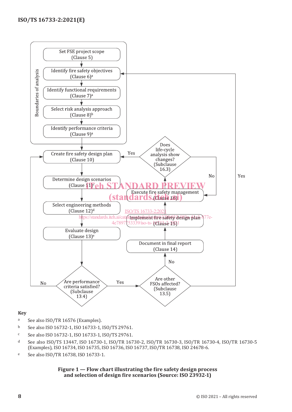

### **Key**

- <sup>a</sup> See also ISO/TR 16576 (Examples).
- <sup>b</sup> See also ISO 16732-1, ISO 16733-1, ISO/TS 29761.
- <sup>c</sup> See also ISO 16732-1, ISO 16733-1, ISO/TS 29761.
- <sup>d</sup> See also ISO/TS 13447, ISO 16730-1, ISO/TR 16730-2, ISO/TR 16730-3, ISO/TR 16730-4, ISO/TR 16730-5 (Examples), ISO 16734, ISO 16735, ISO 16736, ISO 16737, ISO/TR 16738, ISO 24678-6.
- <sup>e</sup> See also ISO/TR 16738, ISO 16733-1.

#### **Figure 1 — Flow chart illustrating the fire safety design process and selection of design fire scenarios (Source: ISO 23932-1)**